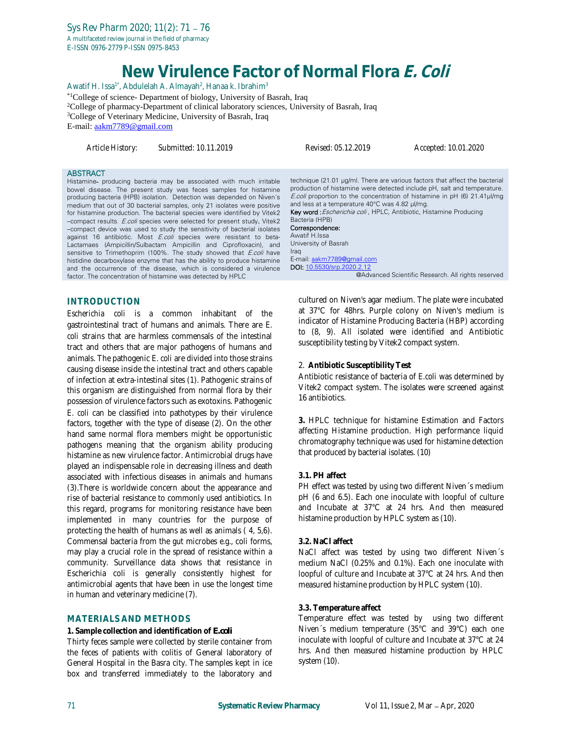# **New Virulence Factor of Normal Flora E. Coli**

Awatif H. Issa<sup>1\*</sup>, Abdulelah A. Almayah<sup>2</sup>, Hanaa k. Ibrahim<sup>3</sup> \*1College of science- Department of biology, University of Basrah, Iraq <sup>2</sup>College of pharmacy-Department of clinical laboratory sciences, University of Basrah, Iraq <sup>3</sup>College of Veterinary Medicine, University of Basrah, Iraq E-mail: [aakm7789@gmail.com](mailto:aakm7789@gmail.com)

*Article History: Submitted: 10.11.2019 Revised: 05.12.2019 Accepted: 10.01.2020*

#### **ABSTRACT**

Histamine- producing bacteria may be associated with much irritable bowel disease. The present study was feces samples for histamine producing bacteria (HPB) isolation. Detection was depended on Niven´s medium that out of 30 bacterial samples, only 21 isolates were positive for histamine production. The bacterial species were identified by Vitek2 –compact results. E.coli species were selected for present study. Vitek2 –compact device was used to study the sensitivity of bacterial isolates against 16 antibiotic. Most E.coli species were resistant to beta-Lactamaes (Ampicillin/Sulbactam Ampicillin and Ciprofloxacin), and sensitive to Trimethoprim (100%. The study showed that *E.coli* have histidine decarboxylase enzyme that has the ability to produce histamine and the occurrence of the disease, which is considered a virulence factor. The concentration of histamine was detected by HPLC

## **INTRODUCTION**

*Escherichia coli* is a common inhabitant of the gastrointestinal tract of humans and animals. There are *E. coli* strains that are harmless commensals of the intestinal tract and others that are major pathogens of humans and animals. The pathogenic *E. coli* are divided into those strains causing disease inside the intestinal tract and others capable of infection at extra-intestinal sites (1). Pathogenic strains of this organism are distinguished from normal flora by their possession of virulence factors such as exotoxins. Pathogenic *E. coli* can be classified into pathotypes by their virulence factors, together with the type of disease (2). On the other hand same normal flora members might be opportunistic pathogens meaning that the organism ability producing histamine as new virulence factor. Antimicrobial drugs have played an indispensable role in decreasing illness and death associated with infectious diseases in animals and humans (3).There is worldwide concern about the appearance and rise of bacterial resistance to commonly used antibiotics. In this regard, programs for monitoring resistance have been implemented in many countries for the purpose of protecting the health of humans as well as animals ( 4, 5,6). Commensal bacteria from the gut microbes e.g., coli forms, may play a crucial role in the spread of resistance within a community. Surveillance data shows that resistance in Escherichia coli is generally consistently highest for antimicrobial agents that have been in use the longest time in human and veterinary medicine (7).

## **MATERIALS AND METHODS**

#### **1. Sample collection and identification of** *E.coli*

Thirty feces sample were collected by sterile container from the feces of patients with colitis of General laboratory of General Hospital in the Basra city. The samples kept in ice box and transferred immediately to the laboratory and

technique (21.01 µg/ml. There are various factors that affect the bacterial production of histamine were detected include pH, salt and temperature. E.coli proportion to the concentration of histamine in pH (6) 21.41µl/mg and less at a temperature 40°C was 4.82 µl/mg. Key word : Escherichia coli, HPLC, Antibiotic, Histamine Producing Bacteria (HPB) Correspondence: Awatif H.Issa University of Basrah Iraq E-mail[: aakm7789@gmail.com](mailto:aakm7789@gmail.com) DOI: [10.5530/srp.2020.2.12](http://dx.doi.org/10.5530/srp.2019.2.04)

@Advanced Scientific Research. All rights reserved

cultured on Niven's agar medium. The plate were incubated at 37°C for 48hrs. Purple colony on Niven's medium is indicator of Histamine Producing Bacteria (HBP) according to (8, 9). All isolated were identified and Antibiotic susceptibility testing by Vitek2 compact system.

#### 2. **Antibiotic Susceptibility Test**

Antibiotic resistance of bacteria of *E.coli* was determined by Vitek2 compact system. The isolates were screened against 16 antibiotics.

**3.** HPLC technique for histamine Estimation and Factors affecting Histamine production. High performance liquid chromatography technique was used for histamine detection that produced by bacterial isolates. (10)

#### **3.1. PH affect**

PH effect was tested by using two different Niven's medium pH (6 and 6.5). Each one inoculate with loopful of culture and Incubate at 37°C at 24 hrs. And then measured histamine production by HPLC system as (10).

#### **3.2. NaCl affect**

NaCl affect was tested by using two different Niven´s medium NaCl (0.25% and 0.1%). Each one inoculate with loopful of culture and Incubate at 37°C at 24 hrs. And then measured histamine production by HPLC system (10).

#### **3.3. Temperature affect**

Temperature effect was tested by using two different Niven´s medium temperature (35°C and 39°C) each one inoculate with loopful of culture and Incubate at 37°C at 24 hrs. And then measured histamine production by HPLC system (10).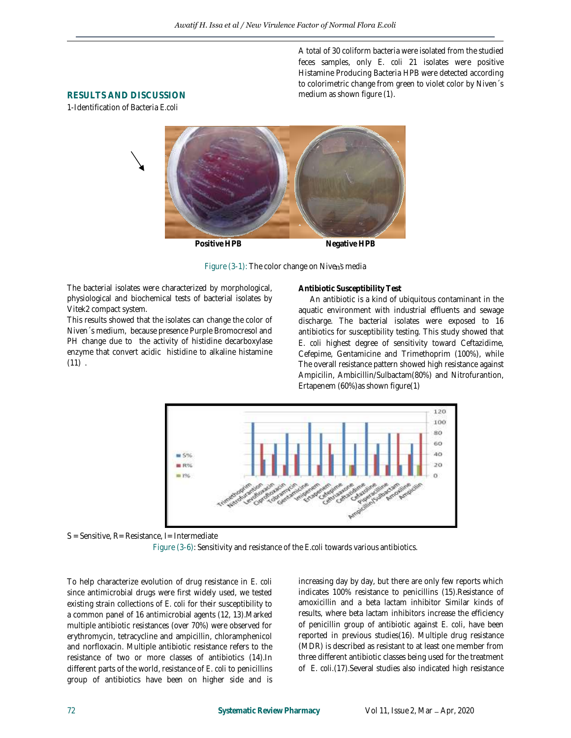A total of 30 coliform bacteria were isolated from the studied feces samples, only *E. coli* 21 isolates were positive Histamine Producing Bacteria HPB were detected according to colorimetric change from green to violet color by Niven´s medium as shown figure (1).

## **RESULTS AND DISCUSSION**

1-Identification of Bacteria *E.coli*



Figure (3-1): The color change on Niven's media

The bacterial isolates were characterized by morphological, physiological and biochemical tests of bacterial isolates by Vitek2 compact system.

This results showed that the isolates can change the color of Niven´s medium, because presence Purple Bromocresol and PH change due to the activity of histidine decarboxylase enzyme that convert acidic histidine to alkaline histamine  $(11)$ .

**Antibiotic Susceptibility Test**

 An antibiotic is a kind of ubiquitous contaminant in the aquatic environment with industrial effluents and sewage discharge. The bacterial isolates were exposed to 16 antibiotics for susceptibility testing. This study showed that *E. coli* highest degree of sensitivity toward Ceftazidime, Cefepime, Gentamicine and Trimethoprim (100%), while The overall resistance pattern showed high resistance against Ampicilin, Ambicillin/Sulbactam(80%) and Nitrofurantion, Ertapenem (60%)as shown figure(1)



S = Sensitive, R= Resistance, I= Intermediate

Figure (3-6): Sensitivity and resistance of the *E.coli* towards various antibiotics.

To help characterize evolution of drug resistance in *E. coli* since antimicrobial drugs were first widely used, we tested existing strain collections of *E. coli* for their susceptibility to a common panel of 16 antimicrobial agents (12, 13).Marked multiple antibiotic resistances (over 70%) were observed for erythromycin, tetracycline and ampicillin, chloramphenicol and norfloxacin. Multiple antibiotic resistance refers to the resistance of two or more classes of antibiotics (14).In different parts of the world, resistance of *E. coli* to penicillins group of antibiotics have been on higher side and is

increasing day by day, but there are only few reports which indicates 100% resistance to penicillins (15).Resistance of amoxicillin and a beta lactam inhibitor Similar kinds of results, where beta lactam inhibitors increase the efficiency of penicillin group of antibiotic against *E. coli*, have been reported in previous studies(16). Multiple drug resistance (MDR) is described as resistant to at least one member from three different antibiotic classes being used for the treatment of *E. coli.*(17).Several studies also indicated high resistance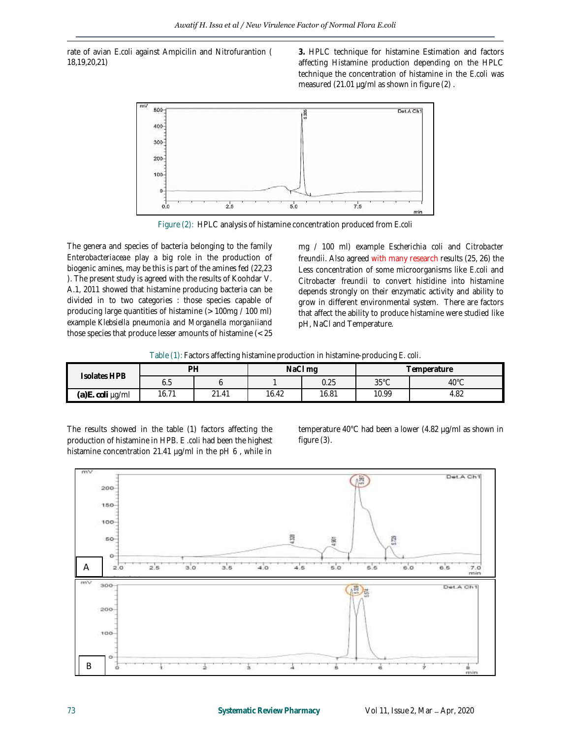rate of avian *E.coli* against Ampicilin and Nitrofurantion ( 18,19,20,21)

**3.** HPLC technique for histamine Estimation and factors affecting Histamine production depending on the HPLC technique the concentration of histamine in the *E.coli* was measured (21.01 µg/ml as shown in figure (2).



Figure (2): HPLC analysis of histamine concentration produced from *E.coli*

The genera and species of bacteria belonging to the family *Enterobacteriaceae* play a big role in the production of biogenic amines, may be this is part of the amines fed (22,23 ). The present study is agreed with the results of Koohdar V. A.1, 2011 showed that histamine producing bacteria can be divided in to two categories : those species capable of producing large quantities of histamine (> 100mg / 100 ml) example *Klebsiella pneumonia* and *Morganella morganii*and those species that produce lesser amounts of histamine (< 25

mg / 100 ml) example *Escherichia coli* and *Citrobacter freundii.* Also agreed with many research results (25, 26) the Less concentration of some microorganisms like *E.coli* and *Citrobacter freundii* to convert histidine into histamine depends strongly on their enzymatic activity and ability to grow in different environmental system. There are factors that affect the ability to produce histamine were studied like pH, NaCl and Temperature.

Table (1): Factors affecting histamine production in histamine-producing *E. coli*.

| Isolates HPB               | D <sub>H</sub>                   |       | NaCl mq |       | I emperature   |                |
|----------------------------|----------------------------------|-------|---------|-------|----------------|----------------|
|                            | 0.J                              |       |         | 0.25  | $35^{\circ}$ C | $40^{\circ}$ C |
| (a)E.<br><i>coli</i> ug/ml | $\overline{\phantom{a}}$<br>16.7 | 21.41 | 16.42   | 16.81 | 10.99          | 4.82           |

The results showed in the table (1) factors affecting the production of histamine in HPB. *E .coli* had been the highest histamine concentration 21.41 µg/ml in the pH 6 , while in temperature 40°C had been a lower (4.82 µg/ml as shown in figure (3).

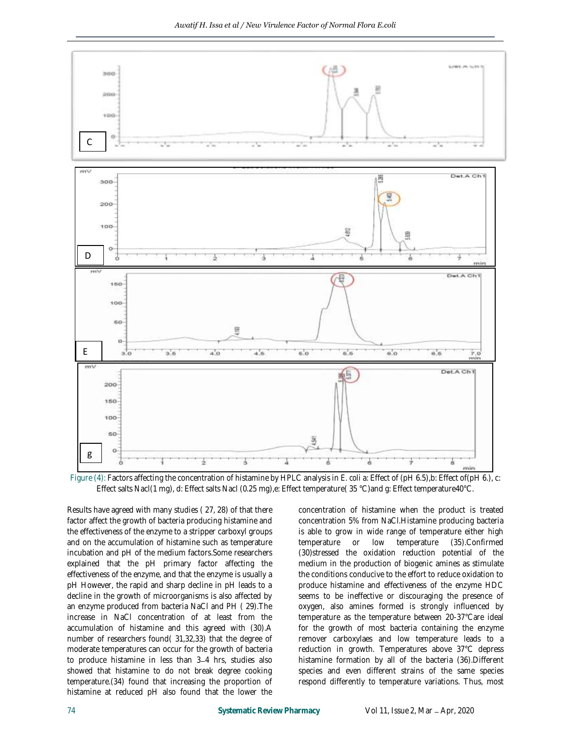

Figure (4): Factors affecting the concentration of histamine by HPLC analysis in *E. coli* a: Effect of (pH 6.5),b: Effect of(pH 6.), c: Effect salts Nacl(1 mg), d: Effect salts Nacl (0.25 mg),e: Effect temperature( 35 °C)and g: Effect temperature40°C.

Results have agreed with many studies ( 27, 28) of that there factor affect the growth of bacteria producing histamine and the effectiveness of the enzyme to a stripper carboxyl groups and on the accumulation of histamine such as temperature incubation and pH of the medium factors.Some researchers explained that the pH primary factor affecting the effectiveness of the enzyme, and that the enzyme is usually a pH However, the rapid and sharp decline in pH leads to a decline in the growth of microorganisms is also affected by an enzyme produced from bacteria NaCl and PH ( 29).The increase in NaCl concentration of at least from the accumulation of histamine and this agreed with (30).A number of researchers found( 31,32,33) that the degree of moderate temperatures can occur for the growth of bacteria to produce histamine in less than 3-4 hrs, studies also showed that histamine to do not break degree cooking temperature.(34) found that increasing the proportion of histamine at reduced pH also found that the lower the

concentration of histamine when the product is treated concentration 5% from NaCl.Histamine producing bacteria is able to grow in wide range of temperature either high temperature or low temperature (35).Confirmed (30)stressed the oxidation reduction potential of the medium in the production of biogenic amines as stimulate the conditions conducive to the effort to reduce oxidation to produce histamine and effectiveness of the enzyme HDC seems to be ineffective or discouraging the presence of oxygen, also amines formed is strongly influenced by temperature as the temperature between 20-37°Care ideal for the growth of most bacteria containing the enzyme remover carboxylaes and low temperature leads to a reduction in growth. Temperatures above 37°C depress histamine formation by all of the bacteria (36).Different species and even different strains of the same species respond differently to temperature variations. Thus, most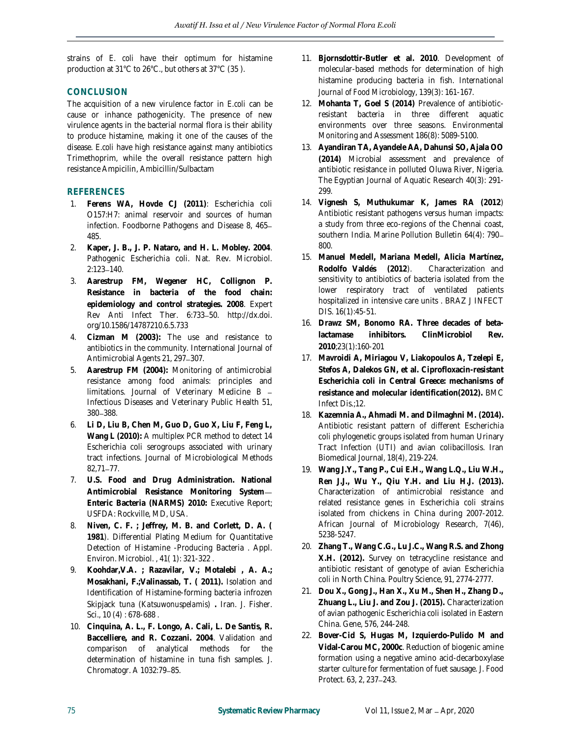strains of *E. coli* have their optimum for histamine production at 31°C to 26°C., but others at 37°C (35 ).

## **CONCLUSION**

The acquisition of a new virulence factor in *E.coli* can be cause or inhance pathogenicity. The presence of new virulence agents in the bacterial normal flora is their ability to produce histamine, making it one of the causes of the disease. *E.coli* have high resistance against many antibiotics Trimethoprim, while the overall resistance pattern high resistance Ampicilin, Ambicillin/Sulbactam

## **REFERENCES**

- 1. **Ferens WA, Hovde CJ (2011)**: Escherichia coli O157:H7: animal reservoir and sources of human infection. Foodborne Pathogens and Disease 8, 465 485.
- 2. **Kaper, J. B., J. P. Nataro, and H. L. Mobley. 2004**. Pathogenic Escherichia coli. Nat. Rev. Microbiol. 2:123-140.
- 3. **Aarestrup FM, Wegener HC, Collignon P. Resistance in bacteria of the food chain: epidemiology and control strategies. 2008**. Expert Rev Anti Infect Ther. 6:733-50. http://dx.doi. org/10.1586/14787210.6.5.733
- 4. **Cizman M (2003):** The use and resistance to antibiotics in the community. International Journal of Antimicrobial Agents 21, 297-307.
- 5. **Aarestrup FM (2004):** Monitoring of antimicrobial resistance among food animals: principles and limitations. Journal of Veterinary Medicine B Infectious Diseases and Veterinary Public Health 51, 380 - 388.
- 6. **Li D, Liu B, Chen M, Guo D, Guo X, Liu F, Feng L, Wang L (2010):** A multiplex PCR method to detect 14 Escherichia coli serogroups associated with urinary tract infections. Journal of Microbiological Methods  $82.71 - 77.$
- 7. **U.S. Food and Drug Administration. National Antimicrobial Resistance Monitoring System Enteric Bacteria (NARMS) 2010:** Executive Report; USFDA: Rockville, MD, USA.
- 8. **Niven, C. F. ; Jeffrey, M. B. and Corlett, D. A. ( 1981**). Differential Plating Medium for Quantitative Detection of Histamine -Producing Bacteria . Appl. Environ. Microbiol. , 41( 1): 321-322 .
- 9. **Koohdar,V.A. ; Razavilar, V.; Motalebi , A. A.; Mosakhani, F.;Valinassab, T. ( 2011).** Isolation and Identification of Histamine-forming bacteria infrozen Skipjack tuna (*Katsuwonuspelamis*) **.** Iran. J. Fisher. Sci., 10 (4) : 678-688 .
- 10. **Cinquina, A. L., F. Longo, A. Cali, L. De Santis, R. Baccelliere, and R. Cozzani. 2004**. Validation and comparison of analytical methods for the determination of histamine in tuna fish samples. J. Chromatogr. A 1032:79-85.
- 11. **Bjornsdottir-Butler et al. 2010**. Development of molecular-based methods for determination of high histamine producing bacteria in fish. *International Journal of Food Microbiology*, 139(3): 161-167.
- 12. **Mohanta T, Goel S (2014)** Prevalence of antibioticresistant bacteria in three different aquatic environments over three seasons. Environmental Monitoring and Assessment 186(8): 5089-5100.
- 13. **Ayandiran TA, Ayandele AA, Dahunsi SO, Ajala OO (2014)** Microbial assessment and prevalence of antibiotic resistance in polluted Oluwa River, Nigeria. The Egyptian Journal of Aquatic Research 40(3): 291- 299.
- 14. **Vignesh S, Muthukumar K, James RA (2012**) Antibiotic resistant pathogens versus human impacts: a study from three eco-regions of the Chennai coast, southern India. Marine Pollution Bulletin 64(4): 790 800.
- 15. **Manuel Medell, Mariana Medell, Alicia Martínez, Rodolfo Valdés (2012**). Characterization and sensitivity to antibiotics of bacteria isolated from the lower respiratory tract of ventilated patients hospitalized in intensive care units . BRAZ J INFECT DIS. 16(1):45-51.
- 16. **Drawz SM, Bonomo RA. Three decades of betalactamase inhibitors. ClinMicrobiol Rev. 2010**;23(1):160-201
- 17. **Mavroidi A, Miriagou V, Liakopoulos A, Tzelepi E, Stefos A, Dalekos GN, et al. Ciprofloxacin-resistant Escherichia coli in Central Greece: mechanisms of resistance and molecular identification(2012).** BMC Infect Dis.;12.
- 18. **Kazemnia A., Ahmadi M. and Dilmaghni M. (2014).**  Antibiotic resistant pattern of different Escherichia coli phylogenetic groups isolated from human Urinary Tract Infection (UTI) and avian colibacillosis. Iran Biomedical Journal, 18(4), 219-224.
- 19. **Wang J.Y., Tang P., Cui E.H., Wang L.Q., Liu W.H., Ren J.J., Wu Y., Qiu Y.H. and Liu H.J. (2013).**  Characterization of antimicrobial resistance and related resistance genes in Escherichia coli strains isolated from chickens in China during 2007-2012. African Journal of Microbiology Research, 7(46), 5238-5247.
- 20. **Zhang T., Wang C.G., Lu J.C., Wang R.S. and Zhong X.H. (2012).** Survey on tetracycline resistance and antibiotic resistant of genotype of avian Escherichia coli in North China. Poultry Science, 91, 2774-2777.
- 21. **Dou X., Gong J., Han X., Xu M., Shen H., Zhang D., Zhuang L., Liu J. and Zou J. (2015).** Characterization of avian pathogenic Escherichia coli isolated in Eastern China. Gene, 576, 244-248.
- 22. **Bover-Cid S, Hugas M, Izquierdo-Pulido M and Vidal-Carou MC, 2000c**. Reduction of biogenic amine formation using a negative amino acid-decarboxylase starter culture for fermentation of fuet sausage. J. Food Protect. 63, 2, 237-243.